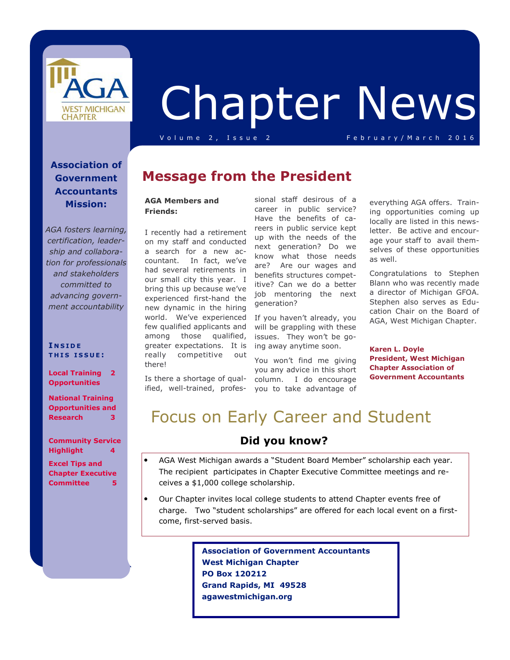

# Chapter News

V o l u m e 2, Issue 2 February/March 2016

### **Association of Government Accountants Mission:**

*AGA fosters learning, certification, leadership and collaboration for professionals and stakeholders committed to advancing government accountability*

### **I N S I D E T H I S I S S U E :**

**Local Training 2 Opportunities** 

**National Training Opportunities and Research 3** 

**Community Service Highlight 4 Excel Tips and Chapter Executive** 

**Committee 5** 

# **Message from the President**

### **AGA Members and Friends:**

I recently had a retirement on my staff and conducted a search for a new accountant. In fact, we've had several retirements in our small city this year. I bring this up because we've experienced first-hand the new dynamic in the hiring world. We've experienced If you haven't already, you few qualified applicants and will be grappling with these among those qualified, greater expectations. It is ing away anytime soon. really competitive out there!

Is there a shortage of qualified, well-trained, profes-

sional staff desirous of a career in public service? Have the benefits of careers in public service kept up with the needs of the next generation? Do we know what those needs are? Are our wages and benefits structures competitive? Can we do a better job mentoring the next generation?

issues. They won't be go-

You won't find me giving you any advice in this short column. I do encourage you to take advantage of

everything AGA offers. Training opportunities coming up locally are listed in this newsletter. Be active and encourage your staff to avail themselves of these opportunities as well.

Congratulations to Stephen Blann who was recently made a director of Michigan GFOA. Stephen also serves as Education Chair on the Board of AGA, West Michigan Chapter.

**Karen L. Doyle President, West Michigan Chapter Association of Government Accountants** 

# Focus on Early Career and Student

### **Did you know?**

- AGA West Michigan awards a "Student Board Member" scholarship each year. The recipient participates in Chapter Executive Committee meetings and receives a \$1,000 college scholarship.
- Our Chapter invites local college students to attend Chapter events free of charge. Two "student scholarships" are offered for each local event on a firstcome, first-served basis.

 **Association of Government Accountants West Michigan Chapter PO Box 120212 Grand Rapids, MI 49528 agawestmichigan.org**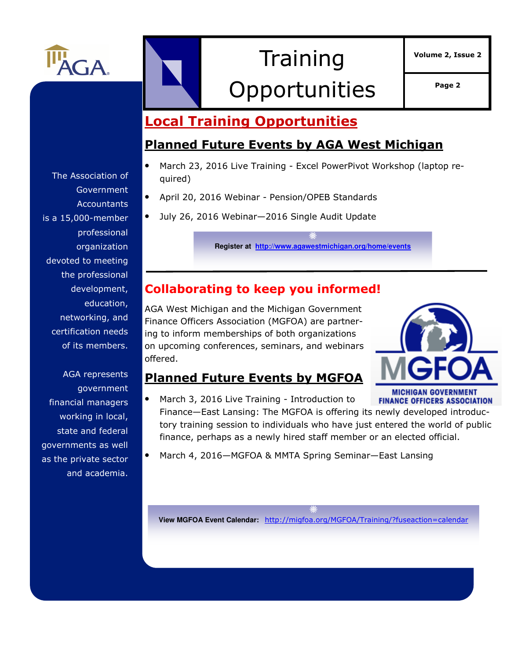

# **Training** Opportunities **Page 2**

**Volume 2, Issue 2** 

# **Local Training Opportunities**

## **Planned Future Events by AGA West Michigan**

- March 23, 2016 Live Training Excel PowerPivot Workshop (laptop required)
- April 20, 2016 Webinar Pension/OPEB Standards
- July 26, 2016 Webinar—2016 Single Audit Update

**Register at http://www.agawestmichigan.org/home/events**

# **Collaborating to keep you informed!**

AGA West Michigan and the Michigan Government Finance Officers Association (MGFOA) are partnering to inform memberships of both organizations on upcoming conferences, seminars, and webinars offered.



### **Planned Future Events by MGFOA**

- March 3, 2016 Live Training Introduction to **FINANCE OFFICERS ASSOCIATION** Finance—East Lansing: The MGFOA is offering its newly developed introductory training session to individuals who have just entered the world of public finance, perhaps as a newly hired staff member or an elected official.
- March 4, 2016—MGFOA & MMTA Spring Seminar—East Lansing

**View MGFOA Event Calendar:** http://migfoa.org/MGFOA/Training/?fuseaction=calendar

The Association of Government **Accountants** is a 15,000-member professional organization devoted to meeting the professional development, education, networking, and certification needs of its members.

AGA represents government financial managers working in local, state and federal governments as well as the private sector and academia.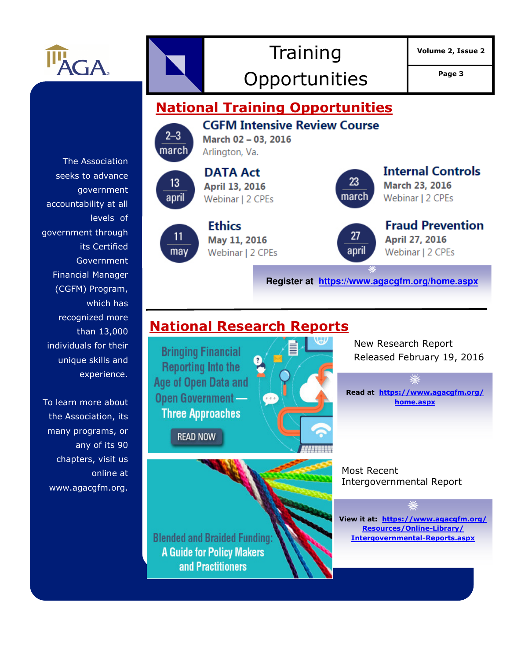

# **Training** Opportunities | Page 3

**Volume 2, Issue 2** 

**National Training Opportunities CGFM Intensive Review Course**  $2 - 3$ March 02 - 03, 2016 march Arlington, Va. The Association **Internal Controls DATA Act** seeks to advance 23 13 March 23, 2016 April 13, 2016 government march april Webinar | 2 CPEs Webinar | 2 CPEs accountability at all levels of **Fraud Prevention Ethics** government through 27 11 April 27, 2016 May 11, 2016 its Certified may april Webinar | 2 CPEs Webinar | 2 CPEs Government Financial Manager **Register at https://www.agacgfm.org/home.aspx** (CGFM) Program, which has recognized more **National Research Reports**  than 13,000 New Research Report individuals for their **Bringing Financial** Released February 19, 2016 unique skills and **Reporting Into the** experience. **Age of Open Data and Read at https://www.agacgfm.org/** Open Government -To learn more about **home.aspx Three Approaches** the Association, its many programs, or **READ NOW** any of its 90 chapters, visit us Most Recent online at Intergovernmental Report www.agacgfm.org. **View it at: https://www.agacgfm.org/ Resources/Online-Library/ Blended and Braided Funding: Intergovernmental-Reports.aspx A Guide for Policy Makers** and Practitioners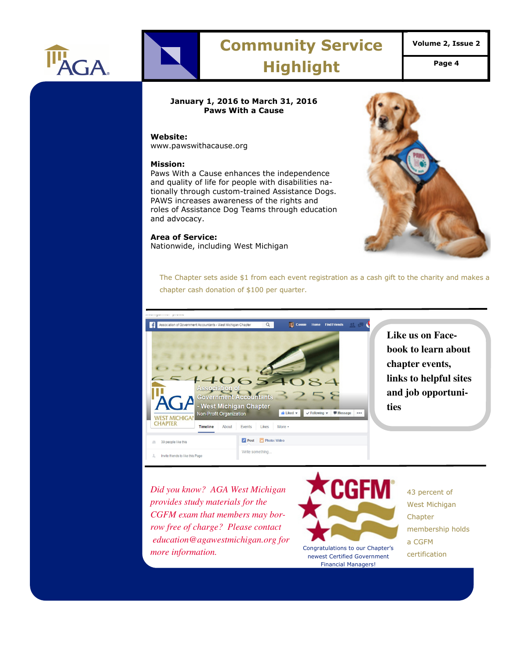

# **Community Service Highlight Page 4**

### **January 1, 2016 to March 31, 2016 Paws With a Cause**

### **Website:**

www.pawswithacause.org

### **Mission:**

Paws With a Cause enhances the independence and quality of life for people with disabilities nationally through custom-trained Assistance Dogs. PAWS increases awareness of the rights and roles of Assistance Dog Teams through education and advocacy.

#### **Area of Service:**

Nationwide, including West Michigan



The Chapter sets aside \$1 from each event registration as a cash gift to the charity and makes a chapter cash donation of \$100 per quarter.



**Like us on Facebook to learn about chapter events, links to helpful sites and job opportunities**

*Did you know? AGA West Michigan provides study materials for the CGFM exam that members may borrow free of charge? Please contact education@agawestmichigan.org for more information.* Congratulations to our Chapter's



newest Certified Government Financial Managers!

43 percent of West Michigan **Chapter** membership holds a CGFM certification